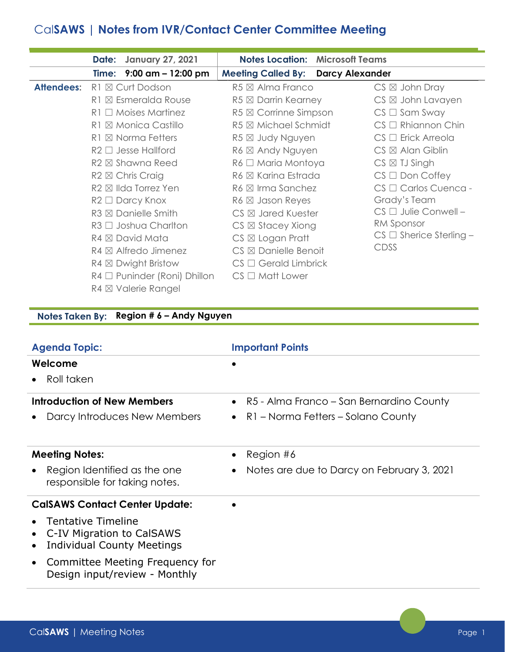# Cal**SAWS | Notes from IVR/Contact Center Committee Meeting**

|                   | Date: January 27, 2021            | <b>Notes Location: Microsoft Teams</b>    |                              |
|-------------------|-----------------------------------|-------------------------------------------|------------------------------|
|                   | Time: 9:00 am - 12:00 pm          | <b>Meeting Called By: Darcy Alexander</b> |                              |
| <b>Attendees:</b> | R1 ⊠ Curt Dodson                  | $R5 \boxtimes$ Alma Franco                | $CS \boxtimes$ John Dray     |
|                   | $R1 \boxtimes$ Esmeralda Rouse    | $R5 \boxtimes$ Darrin Kearney             | $CS \boxtimes$ John Lavayen  |
|                   | $R1 \square$ Moises Martinez      | $R5 \boxtimes$ Corrinne Simpson           | $CS \square$ Sam Sway        |
|                   | $R1 \boxtimes$ Monica Castillo    | R5 ⊠ Michael Schmidt                      | $CS \square$ Rhiannon Chin   |
|                   | $R1 \boxtimes$ Norma Fetters      | R5 ⊠ Judy Nguyen                          | $CS \Box$ Erick Arreola      |
|                   | $R2 \Box$ Jesse Hallford          | $R6 \boxtimes$ Andy Nguyen                | $CS \boxtimes$ Alan Giblin   |
|                   | $R2 \boxtimes$ Shawna Reed        | $R6 \Box$ Maria Montoya                   | $CS \boxtimes IJ$ Singh      |
|                   | $R2 \boxtimes$ Chris Craig        | R6 ⊠ Karina Estrada                       | $CS \square$ Don Coffey      |
|                   | R <sub>2</sub> ⊠ Ilda Torrez Yen  | $R6 \boxtimes$ Irma Sanchez               | $CS \Box$ Carlos Cuenca -    |
|                   | R2 □ Darcy Knox                   | $R6 \boxtimes$ Jason Reyes                | Grady's Team                 |
|                   | $R3 \boxtimes$ Danielle Smith     | $CS \boxtimes$ Jared Kuester              | $CS \Box$ Julie Conwell –    |
|                   | $R3 \Box$ Joshua Charlton         | $CS \boxtimes$ Stacey Xiong               | RM Sponsor                   |
|                   | $R4 \boxtimes$ David Mata         | $CS \boxtimes Logan$ Pratt                | $CS \Box$ Sherice Sterling – |
|                   | $R4 \boxtimes$ Alfredo Jimenez    | $CS \boxtimes$ Danielle Benoit            | <b>CDSS</b>                  |
|                   | $R4 \boxtimes$ Dwight Bristow     | $CS \Box$ Gerald Limbrick                 |                              |
|                   | $R4 \Box$ Puninder (Roni) Dhillon | $CS \square$ Matt Lower                   |                              |
|                   | R4 ⊠ Valerie Rangel               |                                           |                              |

## **Notes Taken By: Region # 6 – Andy Nguyen**

| <b>Agenda Topic:</b>                                             | <b>Important Points</b>                                 |  |
|------------------------------------------------------------------|---------------------------------------------------------|--|
| Welcome                                                          |                                                         |  |
| Roll taken                                                       |                                                         |  |
| <b>Introduction of New Members</b>                               | • R5 - Alma Franco – San Bernardino County              |  |
| Darcy Introduces New Members                                     | R1 - Norma Fetters - Solano County<br>$\bullet$         |  |
| <b>Meeting Notes:</b>                                            | Region #6                                               |  |
| Region Identified as the one<br>responsible for taking notes.    | Notes are due to Darcy on February 3, 2021<br>$\bullet$ |  |
| <b>CalSAWS Contact Center Update:</b>                            |                                                         |  |
| <b>Tentative Timeline</b>                                        |                                                         |  |
| C-IV Migration to CalSAWS<br>Individual County Meetings          |                                                         |  |
| Committee Meeting Frequency for<br>Design input/review - Monthly |                                                         |  |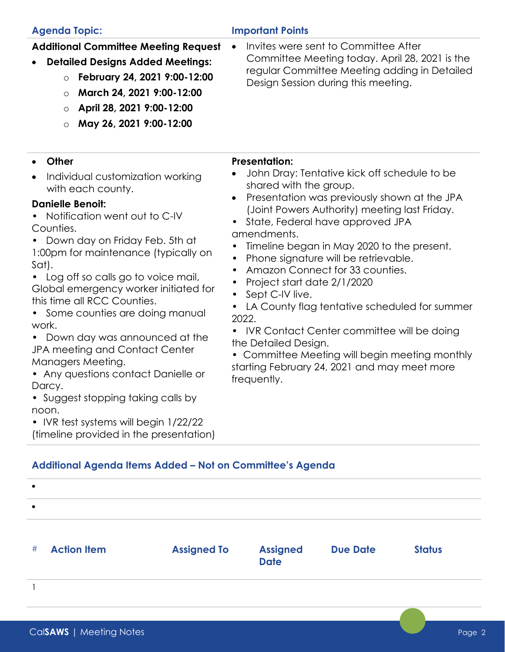| <b>Agenda Topic:</b>                                                                                                                                                                                                                                                                                                                                                                                                                                                                                                                                                                                                                                                  | <b>Important Points</b>                                                                                                                                                                                                                                                                                                                                                                                                                                                                                                                                                                                                                                                                                                            |  |  |  |
|-----------------------------------------------------------------------------------------------------------------------------------------------------------------------------------------------------------------------------------------------------------------------------------------------------------------------------------------------------------------------------------------------------------------------------------------------------------------------------------------------------------------------------------------------------------------------------------------------------------------------------------------------------------------------|------------------------------------------------------------------------------------------------------------------------------------------------------------------------------------------------------------------------------------------------------------------------------------------------------------------------------------------------------------------------------------------------------------------------------------------------------------------------------------------------------------------------------------------------------------------------------------------------------------------------------------------------------------------------------------------------------------------------------------|--|--|--|
| <b>Additional Committee Meeting Request</b><br><b>Detailed Designs Added Meetings:</b><br>February 24, 2021 9:00-12:00<br>$\circ$<br>March 24, 2021 9:00-12:00<br>$\circ$<br>April 28, 2021 9:00-12:00<br>$\circ$<br>May 26, 2021 9:00-12:00<br>$\circ$                                                                                                                                                                                                                                                                                                                                                                                                               | Invites were sent to Committee After<br>Committee Meeting today. April 28, 2021 is the<br>regular Committee Meeting adding in Detailed<br>Design Session during this meeting.                                                                                                                                                                                                                                                                                                                                                                                                                                                                                                                                                      |  |  |  |
| Other<br>Individual customization working<br>with each county.<br><b>Danielle Benoit:</b><br>Notification went out to C-IV<br>Counties.<br>• Down day on Friday Feb. 5th at<br>1:00pm for maintenance (typically on<br>Sat).<br>• Log off so calls go to voice mail,<br>Global emergency worker initiated for<br>this time all RCC Counties.<br>Some counties are doing manual<br>work.<br>• Down day was announced at the<br>JPA meeting and Contact Center<br>Managers Meeting.<br>• Any questions contact Danielle or<br>Darcy.<br>• Suggest stopping taking calls by<br>noon.<br>• IVR test systems will begin 1/22/22<br>(timeline provided in the presentation) | <b>Presentation:</b><br>John Dray: Tentative kick off schedule to be<br>shared with the group.<br>Presentation was previously shown at the JPA<br>$\bullet$<br>(Joint Powers Authority) meeting last Friday.<br>State, Federal have approved JPA<br>amendments.<br>Timeline began in May 2020 to the present.<br>Phone signature will be retrievable.<br>$\bullet$<br>Amazon Connect for 33 counties.<br>Project start date 2/1/2020<br>$\bullet$<br>Sept C-IV live.<br>LA County flag tentative scheduled for summer<br>$\bullet$<br>2022.<br>IVR Contact Center committee will be doing<br>the Detailed Design.<br>• Committee Meeting will begin meeting monthly<br>starting February 24, 2021 and may meet more<br>frequently. |  |  |  |
| Additional Agenda Items Added - Not on Committee's Agenda                                                                                                                                                                                                                                                                                                                                                                                                                                                                                                                                                                                                             |                                                                                                                                                                                                                                                                                                                                                                                                                                                                                                                                                                                                                                                                                                                                    |  |  |  |
|                                                                                                                                                                                                                                                                                                                                                                                                                                                                                                                                                                                                                                                                       |                                                                                                                                                                                                                                                                                                                                                                                                                                                                                                                                                                                                                                                                                                                                    |  |  |  |
| <b>Action Item</b><br><b>Assigned To</b><br>#                                                                                                                                                                                                                                                                                                                                                                                                                                                                                                                                                                                                                         | <b>Assigned</b><br><b>Due Date</b><br><b>Status</b><br><b>Date</b>                                                                                                                                                                                                                                                                                                                                                                                                                                                                                                                                                                                                                                                                 |  |  |  |
|                                                                                                                                                                                                                                                                                                                                                                                                                                                                                                                                                                                                                                                                       |                                                                                                                                                                                                                                                                                                                                                                                                                                                                                                                                                                                                                                                                                                                                    |  |  |  |
|                                                                                                                                                                                                                                                                                                                                                                                                                                                                                                                                                                                                                                                                       |                                                                                                                                                                                                                                                                                                                                                                                                                                                                                                                                                                                                                                                                                                                                    |  |  |  |